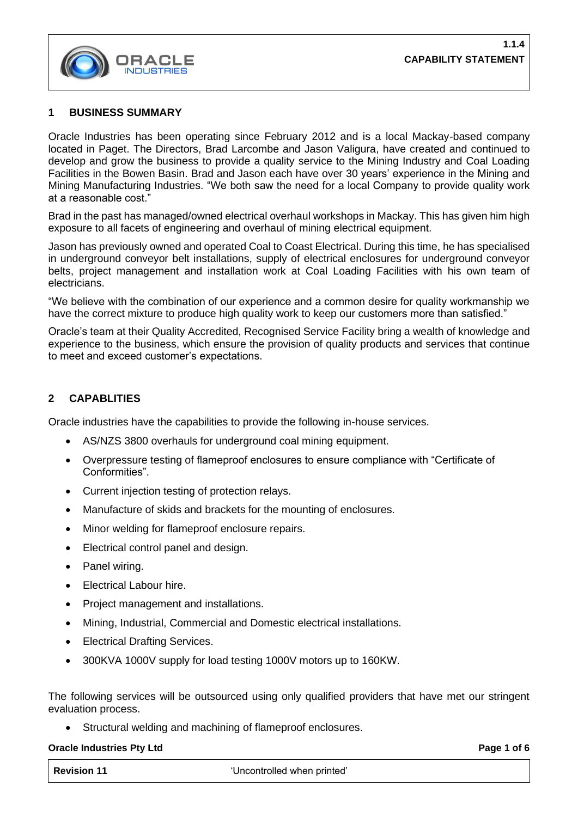

### **1 BUSINESS SUMMARY**

Oracle Industries has been operating since February 2012 and is a local Mackay-based company located in Paget. The Directors, Brad Larcombe and Jason Valigura, have created and continued to develop and grow the business to provide a quality service to the Mining Industry and Coal Loading Facilities in the Bowen Basin. Brad and Jason each have over 30 years' experience in the Mining and Mining Manufacturing Industries. "We both saw the need for a local Company to provide quality work at a reasonable cost."

Brad in the past has managed/owned electrical overhaul workshops in Mackay. This has given him high exposure to all facets of engineering and overhaul of mining electrical equipment.

Jason has previously owned and operated Coal to Coast Electrical. During this time, he has specialised in underground conveyor belt installations, supply of electrical enclosures for underground conveyor belts, project management and installation work at Coal Loading Facilities with his own team of electricians.

"We believe with the combination of our experience and a common desire for quality workmanship we have the correct mixture to produce high quality work to keep our customers more than satisfied."

Oracle's team at their Quality Accredited, Recognised Service Facility bring a wealth of knowledge and experience to the business, which ensure the provision of quality products and services that continue to meet and exceed customer's expectations.

## **2 CAPABLITIES**

Oracle industries have the capabilities to provide the following in-house services.

- AS/NZS 3800 overhauls for underground coal mining equipment.
- Overpressure testing of flameproof enclosures to ensure compliance with "Certificate of Conformities".
- Current injection testing of protection relays.
- Manufacture of skids and brackets for the mounting of enclosures.
- Minor welding for flameproof enclosure repairs.
- Electrical control panel and design.
- Panel wiring.
- Electrical Labour hire.
- Project management and installations.
- Mining, Industrial, Commercial and Domestic electrical installations.
- **Electrical Drafting Services.**
- 300KVA 1000V supply for load testing 1000V motors up to 160KW.

The following services will be outsourced using only qualified providers that have met our stringent evaluation process.

• Structural welding and machining of flameproof enclosures.

#### **Oracle Industries Pty Ltd Page 1** of 6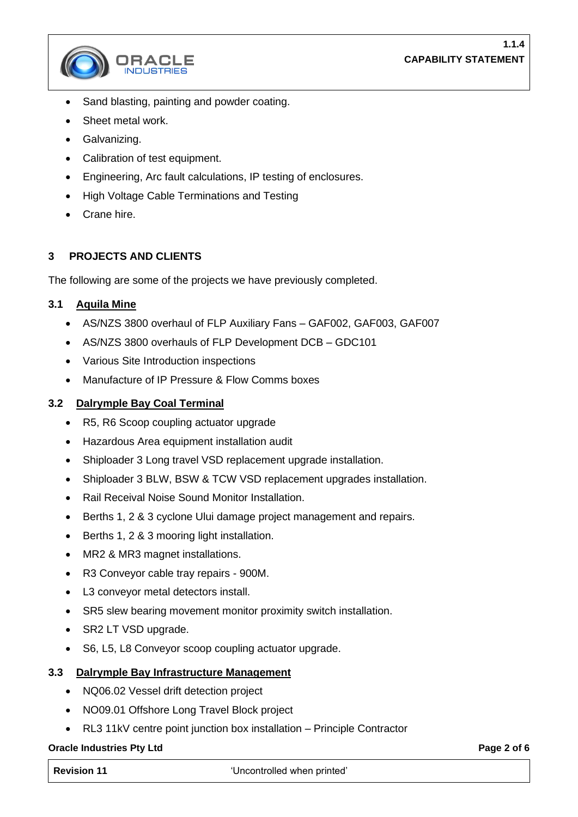

- Sand blasting, painting and powder coating.
- Sheet metal work.
- Galvanizing.
- Calibration of test equipment.
- Engineering, Arc fault calculations, IP testing of enclosures.
- High Voltage Cable Terminations and Testing
- Crane hire.

## **3 PROJECTS AND CLIENTS**

The following are some of the projects we have previously completed.

## **3.1 Aquila Mine**

- AS/NZS 3800 overhaul of FLP Auxiliary Fans GAF002, GAF003, GAF007
- AS/NZS 3800 overhauls of FLP Development DCB GDC101
- Various Site Introduction inspections
- Manufacture of IP Pressure & Flow Comms boxes

## **3.2 Dalrymple Bay Coal Terminal**

- R5, R6 Scoop coupling actuator upgrade
- Hazardous Area equipment installation audit
- Shiploader 3 Long travel VSD replacement upgrade installation.
- Shiploader 3 BLW, BSW & TCW VSD replacement upgrades installation.
- Rail Receival Noise Sound Monitor Installation.
- Berths 1, 2 & 3 cyclone Ului damage project management and repairs.
- Berths 1, 2 & 3 mooring light installation.
- MR2 & MR3 magnet installations.
- R3 Conveyor cable tray repairs 900M.
- L3 conveyor metal detectors install.
- SR5 slew bearing movement monitor proximity switch installation.
- SR2 LT VSD upgrade.
- S6, L5, L8 Conveyor scoop coupling actuator upgrade.

## **3.3 Dalrymple Bay Infrastructure Management**

- NQ06.02 Vessel drift detection project
- NO09.01 Offshore Long Travel Block project
- RL3 11kV centre point junction box installation Principle Contractor

#### **Oracle Industries Pty Ltd Page 2** of 6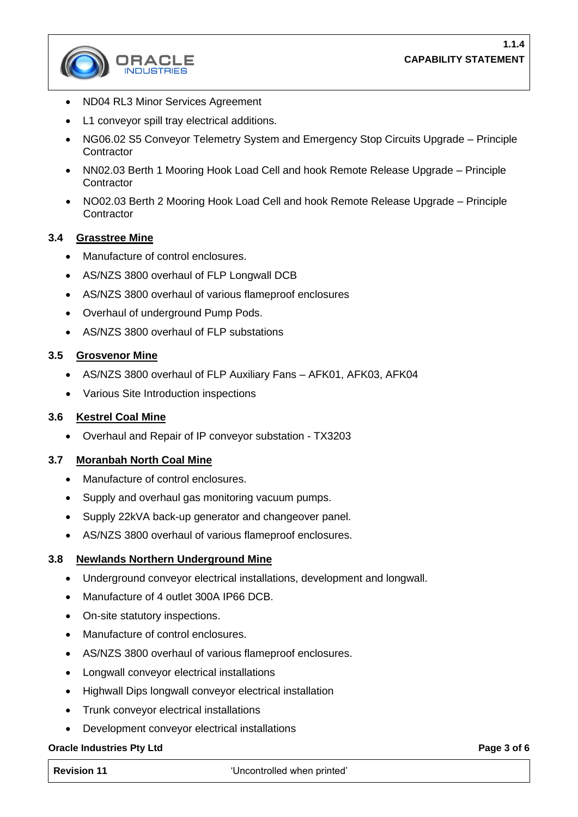

- ND04 RL3 Minor Services Agreement
- L1 conveyor spill tray electrical additions.
- NG06.02 S5 Conveyor Telemetry System and Emergency Stop Circuits Upgrade Principle **Contractor**
- NN02.03 Berth 1 Mooring Hook Load Cell and hook Remote Release Upgrade Principle **Contractor**
- NO02.03 Berth 2 Mooring Hook Load Cell and hook Remote Release Upgrade Principle **Contractor**

## **3.4 Grasstree Mine**

- Manufacture of control enclosures.
- AS/NZS 3800 overhaul of FLP Longwall DCB
- AS/NZS 3800 overhaul of various flameproof enclosures
- Overhaul of underground Pump Pods.
- AS/NZS 3800 overhaul of FLP substations

### **3.5 Grosvenor Mine**

- AS/NZS 3800 overhaul of FLP Auxiliary Fans AFK01, AFK03, AFK04
- Various Site Introduction inspections

#### **3.6 Kestrel Coal Mine**

• Overhaul and Repair of IP conveyor substation - TX3203

## **3.7 Moranbah North Coal Mine**

- Manufacture of control enclosures.
- Supply and overhaul gas monitoring vacuum pumps.
- Supply 22kVA back-up generator and changeover panel.
- AS/NZS 3800 overhaul of various flameproof enclosures.

## **3.8 Newlands Northern Underground Mine**

- Underground conveyor electrical installations, development and longwall.
- Manufacture of 4 outlet 300A IP66 DCB.
- On-site statutory inspections.
- Manufacture of control enclosures.
- AS/NZS 3800 overhaul of various flameproof enclosures.
- Longwall conveyor electrical installations
- Highwall Dips longwall conveyor electrical installation
- Trunk conveyor electrical installations
- Development conveyor electrical installations

## **Oracle Industries Pty Ltd Page 3 of 6**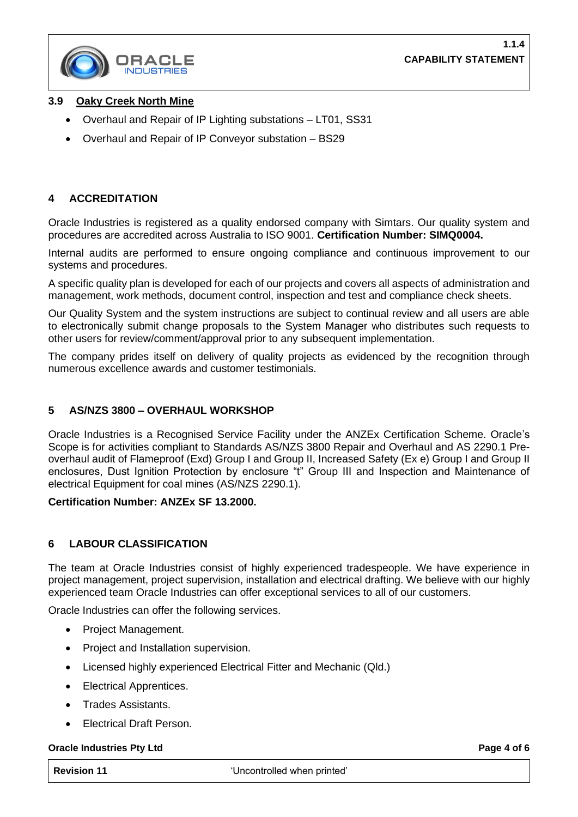

## **3.9 Oaky Creek North Mine**

- Overhaul and Repair of IP Lighting substations LT01, SS31
- Overhaul and Repair of IP Conveyor substation BS29

## **4 ACCREDITATION**

Oracle Industries is registered as a quality endorsed company with Simtars. Our quality system and procedures are accredited across Australia to ISO 9001. **Certification Number: SIMQ0004.**

Internal audits are performed to ensure ongoing compliance and continuous improvement to our systems and procedures.

A specific quality plan is developed for each of our projects and covers all aspects of administration and management, work methods, document control, inspection and test and compliance check sheets.

Our Quality System and the system instructions are subject to continual review and all users are able to electronically submit change proposals to the System Manager who distributes such requests to other users for review/comment/approval prior to any subsequent implementation.

The company prides itself on delivery of quality projects as evidenced by the recognition through numerous excellence awards and customer testimonials.

## **5 AS/NZS 3800 – OVERHAUL WORKSHOP**

Oracle Industries is a Recognised Service Facility under the ANZEx Certification Scheme. Oracle's Scope is for activities compliant to Standards AS/NZS 3800 Repair and Overhaul and AS 2290.1 Preoverhaul audit of Flameproof (Exd) Group I and Group II, Increased Safety (Ex e) Group I and Group II enclosures, Dust Ignition Protection by enclosure "t" Group III and Inspection and Maintenance of electrical Equipment for coal mines (AS/NZS 2290.1).

#### **Certification Number: ANZEx SF 13.2000.**

# **6 LABOUR CLASSIFICATION**

The team at Oracle Industries consist of highly experienced tradespeople. We have experience in project management, project supervision, installation and electrical drafting. We believe with our highly experienced team Oracle Industries can offer exceptional services to all of our customers.

Oracle Industries can offer the following services.

- Project Management.
- Project and Installation supervision.
- Licensed highly experienced Electrical Fitter and Mechanic (Qld.)
- **Electrical Apprentices.**
- Trades Assistants.
- Electrical Draft Person.

#### **Oracle Industries Pty Ltd Page 4 of 6 Page 4 of 6 Page 4 of 6**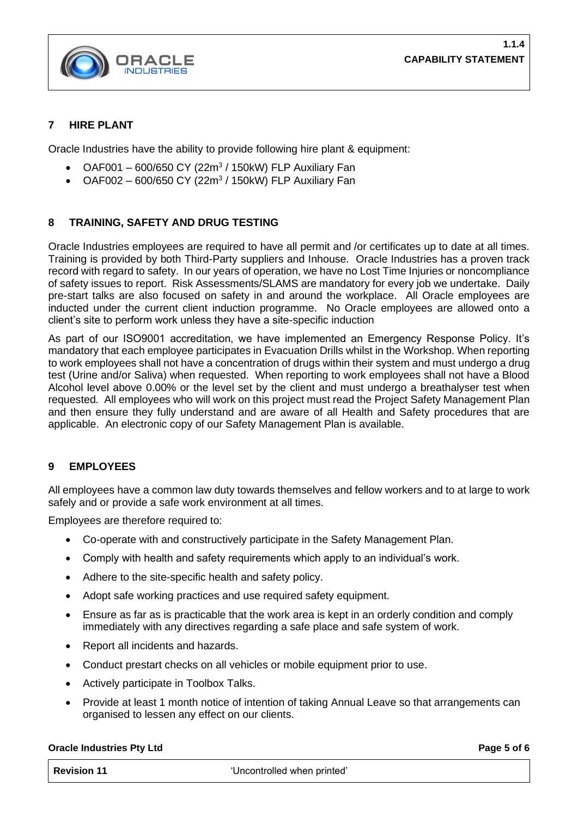

## **7 HIRE PLANT**

Oracle Industries have the ability to provide following hire plant & equipment:

- OAF001 600/650 CY (22m<sup>3</sup> / 150kW) FLP Auxiliary Fan
- OAF002 600/650 CY (22m<sup>3</sup> / 150kW) FLP Auxiliary Fan

## **8 TRAINING, SAFETY AND DRUG TESTING**

Oracle Industries employees are required to have all permit and /or certificates up to date at all times. Training is provided by both Third-Party suppliers and Inhouse. Oracle Industries has a proven track record with regard to safety. In our years of operation, we have no Lost Time Injuries or noncompliance of safety issues to report. Risk Assessments/SLAMS are mandatory for every job we undertake. Daily pre-start talks are also focused on safety in and around the workplace. All Oracle employees are inducted under the current client induction programme. No Oracle employees are allowed onto a client's site to perform work unless they have a site-specific induction

As part of our ISO9001 accreditation, we have implemented an Emergency Response Policy. It's mandatory that each employee participates in Evacuation Drills whilst in the Workshop. When reporting to work employees shall not have a concentration of drugs within their system and must undergo a drug test (Urine and/or Saliva) when requested. When reporting to work employees shall not have a Blood Alcohol level above 0.00% or the level set by the client and must undergo a breathalyser test when requested. All employees who will work on this project must read the Project Safety Management Plan and then ensure they fully understand and are aware of all Health and Safety procedures that are applicable. An electronic copy of our Safety Management Plan is available.

# **9 EMPLOYEES**

All employees have a common law duty towards themselves and fellow workers and to at large to work safely and or provide a safe work environment at all times.

Employees are therefore required to:

- Co-operate with and constructively participate in the Safety Management Plan.
- Comply with health and safety requirements which apply to an individual's work.
- Adhere to the site-specific health and safety policy.
- Adopt safe working practices and use required safety equipment.
- Ensure as far as is practicable that the work area is kept in an orderly condition and comply immediately with any directives regarding a safe place and safe system of work.
- Report all incidents and hazards.
- Conduct prestart checks on all vehicles or mobile equipment prior to use.
- Actively participate in Toolbox Talks.
- Provide at least 1 month notice of intention of taking Annual Leave so that arrangements can organised to lessen any effect on our clients.

#### **Oracle Industries Pty Ltd Page 5** of 6